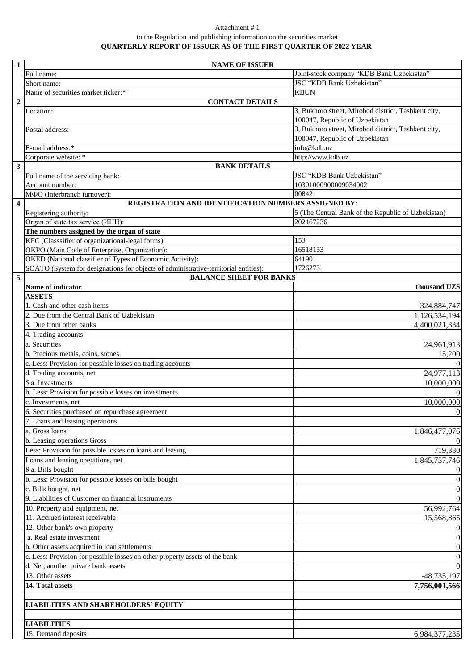## Attachment # 1 to the Regulation and publishing information on the securities market **QUARTERLY REPORT OF ISSUER AS OF THE FIRST QUARTER OF 2022 YEAR**

| $\mathbf{1}$            | <b>NAME OF ISSUER</b>                                                                                                                            |                                                     |  |  |  |
|-------------------------|--------------------------------------------------------------------------------------------------------------------------------------------------|-----------------------------------------------------|--|--|--|
|                         | Full name:                                                                                                                                       | Joint-stock company "KDB Bank Uzbekistan"           |  |  |  |
|                         | Short name:                                                                                                                                      | JSC "KDB Bank Uzbekistan"                           |  |  |  |
|                         | Name of securities market ticker:*                                                                                                               | <b>KBUN</b>                                         |  |  |  |
| $\overline{2}$          | <b>CONTACT DETAILS</b>                                                                                                                           |                                                     |  |  |  |
|                         | Location:                                                                                                                                        | 3, Bukhoro street, Mirobod district, Tashkent city, |  |  |  |
|                         |                                                                                                                                                  | 100047, Republic of Uzbekistan                      |  |  |  |
|                         | Postal address:                                                                                                                                  | 3, Bukhoro street, Mirobod district, Tashkent city, |  |  |  |
|                         |                                                                                                                                                  | 100047, Republic of Uzbekistan                      |  |  |  |
|                         | E-mail address:*                                                                                                                                 | info@kdb.uz                                         |  |  |  |
|                         | Corporate website: *                                                                                                                             | http://www.kdb.uz                                   |  |  |  |
| $\overline{\mathbf{3}}$ | <b>BANK DETAILS</b>                                                                                                                              |                                                     |  |  |  |
|                         | Full name of the servicing bank:                                                                                                                 | JSC "KDB Bank Uzbekistan"                           |  |  |  |
|                         | Account number:                                                                                                                                  | 10301000900009034002                                |  |  |  |
|                         | 00842<br>МФО (Interbranch turnover):                                                                                                             |                                                     |  |  |  |
| $\overline{4}$          | REGISTRATION AND IDENTIFICATION NUMBERS ASSIGNED BY:                                                                                             |                                                     |  |  |  |
|                         | Registering authority:                                                                                                                           | 5 (The Central Bank of the Republic of Uzbekistan)  |  |  |  |
|                         | Organ of state tax service (IHH):                                                                                                                | 202167236                                           |  |  |  |
|                         | The numbers assigned by the organ of state                                                                                                       |                                                     |  |  |  |
|                         | KFC (Classsifier of organizational-legal forms):                                                                                                 | 153                                                 |  |  |  |
|                         | OKPO (Main Code of Enterprise, Organization):                                                                                                    | 16518153<br>64190                                   |  |  |  |
|                         | OKED (National classifier of Types of Economic Activity):<br>SOATO (System for designations for objects of administrative-territorial entities): | 1726273                                             |  |  |  |
| 5                       | <b>BALANCE SHEET FOR BANKS</b>                                                                                                                   |                                                     |  |  |  |
|                         | Name of indicator                                                                                                                                | thousand UZS                                        |  |  |  |
|                         | <b>ASSETS</b>                                                                                                                                    |                                                     |  |  |  |
|                         | 1. Cash and other cash items                                                                                                                     | 324,884,747                                         |  |  |  |
|                         | 2. Due from the Central Bank of Uzbekistan                                                                                                       | 1,126,534,194                                       |  |  |  |
|                         | 3. Due from other banks                                                                                                                          | 4,400,021,334                                       |  |  |  |
|                         | 4. Trading accounts                                                                                                                              |                                                     |  |  |  |
|                         | a. Securities                                                                                                                                    | 24,961,913                                          |  |  |  |
|                         | b. Precious metals, coins, stones                                                                                                                | 15,200                                              |  |  |  |
|                         | c. Less: Provision for possible losses on trading accounts                                                                                       | $\Omega$                                            |  |  |  |
|                         | d. Trading accounts, net                                                                                                                         | 24,977,113                                          |  |  |  |
|                         | 5 a. Investments                                                                                                                                 | 10,000,000                                          |  |  |  |
|                         | b. Less: Provision for possible losses on investments                                                                                            | $\theta$                                            |  |  |  |
|                         | c. Investments, net                                                                                                                              | 10,000,000                                          |  |  |  |
|                         | 6. Securities purchased on repurchase agreement                                                                                                  | $\theta$                                            |  |  |  |
|                         | 7. Loans and leasing operations                                                                                                                  |                                                     |  |  |  |
|                         | a. Gross loans                                                                                                                                   | 1,846,477,076                                       |  |  |  |
|                         | b. Leasing operations Gross                                                                                                                      | $\theta$                                            |  |  |  |
|                         | Less: Provision for possible losses on loans and leasing                                                                                         | 719,330                                             |  |  |  |
|                         | Loans and leasing operations, net                                                                                                                | 1,845,757,746                                       |  |  |  |
|                         | 8 a. Bills bought                                                                                                                                | $\theta$                                            |  |  |  |
|                         | b. Less: Provision for possible losses on bills bought                                                                                           | $\boldsymbol{0}$                                    |  |  |  |
|                         | c. Bills bought, net                                                                                                                             | $\boldsymbol{0}$                                    |  |  |  |
|                         | 9. Liabilities of Customer on financial instruments                                                                                              | $\Omega$                                            |  |  |  |
|                         | 10. Property and equipment, net                                                                                                                  | 56,992,764                                          |  |  |  |
|                         | 11. Accrued interest receivable                                                                                                                  | 15,568,865                                          |  |  |  |
|                         | 12. Other bank's own property                                                                                                                    | $\boldsymbol{0}$                                    |  |  |  |
|                         | a. Real estate investment                                                                                                                        | $\boldsymbol{0}$                                    |  |  |  |
|                         | b. Other assets acquired in loan settlements                                                                                                     | $\boldsymbol{0}$                                    |  |  |  |
|                         | c. Less: Provision for possible losses on other property assets of the bank<br>d. Net, another private bank assets                               | $\boldsymbol{0}$<br>$\mathbf{0}$                    |  |  |  |
|                         | 13. Other assets                                                                                                                                 | $-48,735,197$                                       |  |  |  |
|                         | 14. Total assets                                                                                                                                 |                                                     |  |  |  |
|                         |                                                                                                                                                  | 7,756,001,566                                       |  |  |  |
|                         | <b>LIABILITIES AND SHAREHOLDERS' EQUITY</b>                                                                                                      |                                                     |  |  |  |
|                         |                                                                                                                                                  |                                                     |  |  |  |
|                         | <b>LIABILITIES</b>                                                                                                                               |                                                     |  |  |  |
|                         | 15. Demand deposits                                                                                                                              | 6,984,377,235                                       |  |  |  |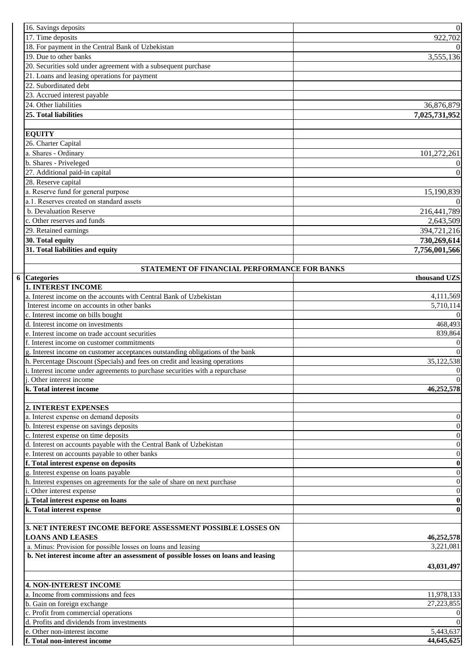|  | 16. Savings deposits                                                               | $\boldsymbol{0}$                     |
|--|------------------------------------------------------------------------------------|--------------------------------------|
|  | 17. Time deposits                                                                  | 922,702                              |
|  | 18. For payment in the Central Bank of Uzbekistan                                  | $\Omega$                             |
|  | 19. Due to other banks                                                             | 3,555,136                            |
|  | 20. Securities sold under agreement with a subsequent purchase                     |                                      |
|  | 21. Loans and leasing operations for payment                                       |                                      |
|  | 22. Subordinated debt                                                              |                                      |
|  | 23. Accrued interest payable                                                       |                                      |
|  | 24. Other liabilities                                                              | 36,876,879                           |
|  | 25. Total liabilities                                                              | 7,025,731,952                        |
|  |                                                                                    |                                      |
|  | <b>EQUITY</b>                                                                      |                                      |
|  | 26. Charter Capital                                                                |                                      |
|  | a. Shares - Ordinary                                                               | 101,272,261                          |
|  | b. Shares - Priveleged                                                             | $\mathbf{0}$                         |
|  | 27. Additional paid-in capital                                                     | $\mathbf{0}$                         |
|  | 28. Reserve capital                                                                |                                      |
|  | a. Reserve fund for general purpose                                                | 15,190,839                           |
|  | a.1. Reserves created on standard assets                                           | $\Omega$                             |
|  | b. Devaluation Reserve                                                             | 216,441,789                          |
|  | c. Other reserves and funds                                                        | 2,643,509                            |
|  | 29. Retained earnings                                                              | 394,721,216                          |
|  | 30. Total equity                                                                   | 730,269,614                          |
|  | 31. Total liabilities and equity                                                   | 7,756,001,566                        |
|  |                                                                                    |                                      |
|  | STATEMENT OF FINANCIAL PERFORMANCE FOR BANKS                                       |                                      |
|  | 6 Categories                                                                       | thousand UZS                         |
|  | <b>1. INTEREST INCOME</b>                                                          |                                      |
|  | a. Interest income on the accounts with Central Bank of Uzbekistan                 | 4,111,569                            |
|  | Interest income on accounts in other banks                                         | 5,710,114                            |
|  | c. Interest income on bills bought                                                 | $\overline{0}$                       |
|  | d. Interest income on investments                                                  | 468,493                              |
|  | e. Interest income on trade account securities                                     | 839,864                              |
|  | f. Interest income on customer commitments                                         | $\boldsymbol{0}$                     |
|  | g. Interest income on customer acceptances outstanding obligations of the bank     | $\overline{0}$                       |
|  | h. Percentage Discount (Specials) and fees on credit and leasing operations        | 35,122,538                           |
|  | i. Interest income under agreements to purchase securities with a repurchase       | $\mathbf{0}$                         |
|  | j. Other interest income                                                           | $\overline{0}$                       |
|  | k. Total interest income                                                           | 46,252,578                           |
|  |                                                                                    |                                      |
|  | 2. INTEREST EXPENSES                                                               |                                      |
|  | a. Interest expense on demand deposits                                             | $\mathbf{0}$                         |
|  | b. Interest expense on savings deposits                                            | $\boldsymbol{0}$                     |
|  | c. Interest expense on time deposits                                               | $\boldsymbol{0}$                     |
|  | d. Interest on accounts payable with the Central Bank of Uzbekistan                | $\boldsymbol{0}$                     |
|  | e. Interest on accounts payable to other banks                                     | $\boldsymbol{0}$                     |
|  | f. Total interest expense on deposits<br>g. Interest expense on loans payable      | $\boldsymbol{0}$<br>$\boldsymbol{0}$ |
|  | h. Interest expenses on agreements for the sale of share on next purchase          | $\boldsymbol{0}$                     |
|  | i. Other interest expense                                                          | $\boldsymbol{0}$                     |
|  | j. Total interest expense on loans                                                 | $\boldsymbol{0}$                     |
|  | k. Total interest expense                                                          | $\bf{0}$                             |
|  |                                                                                    |                                      |
|  | 3. NET INTEREST INCOME BEFORE ASSESSMENT POSSIBLE LOSSES ON                        |                                      |
|  | <b>LOANS AND LEASES</b>                                                            | 46,252,578                           |
|  | a. Minus: Provision for possible losses on loans and leasing                       | 3,221,081                            |
|  | b. Net interest income after an assessment of possible losses on loans and leasing |                                      |
|  |                                                                                    | 43,031,497                           |
|  |                                                                                    |                                      |
|  | <b>4. NON-INTEREST INCOME</b>                                                      |                                      |
|  | a. Income from commissions and fees                                                | 11,978,133                           |
|  | b. Gain on foreign exchange                                                        | 27,223,855                           |
|  | c. Profit from commercial operations                                               | $\mathbf{0}$                         |
|  | d. Profits and dividends from investments                                          | $\mathbf{0}$                         |
|  | e. Other non-interest income                                                       | 5,443,637                            |
|  | f. Total non-interest income                                                       | 44,645,625                           |